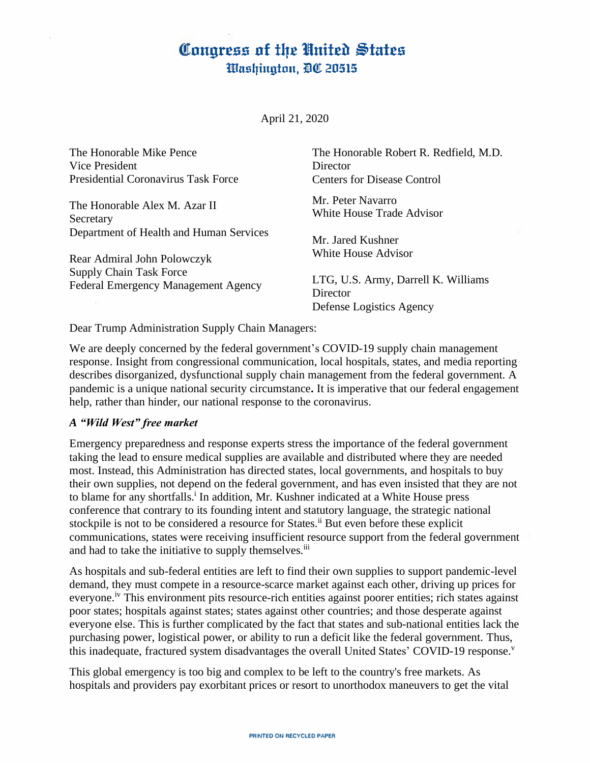# Congress of the United States Washington, DC 20515

April 21, 2020

| The Honorable Mike Pence<br>Vice President<br><b>Presidential Coronavirus Task Force</b> | The Honorable Robert R. Redfield, M.D.<br>Director<br>Centers for Disease Control |
|------------------------------------------------------------------------------------------|-----------------------------------------------------------------------------------|
| The Honorable Alex M. Azar II<br>Secretary                                               | Mr. Peter Navarro<br>White House Trade Advisor                                    |
| Department of Health and Human Services                                                  | Mr. Jared Kushner                                                                 |
| Rear Admiral John Polowczyk                                                              | White House Advisor                                                               |
| <b>Supply Chain Task Force</b><br><b>Federal Emergency Management Agency</b>             | LTG, U.S. Army, Darrell K. Williams<br>Director<br>Defense Logistics Agency       |

Dear Trump Administration Supply Chain Managers:

We are deeply concerned by the federal government's COVID-19 supply chain management response. Insight from congressional communication, local hospitals, states, and media reporting describes disorganized, dysfunctional supply chain management from the federal government. A pandemic is a unique national security circumstance**.** It is imperative that our federal engagement help, rather than hinder, our national response to the coronavirus.

#### *A "Wild West" free market*

Emergency preparedness and response experts stress the importance of the federal government taking the lead to ensure medical supplies are available and distributed where they are needed most. Instead, this Administration has directed states, local governments, and hospitals to buy their own supplies, not depend on the federal government, and has even insisted that they are not to blame for any shortfalls.<sup>1</sup> In addition, Mr. Kushner indicated at a White House press conference that contrary to its founding intent and statutory language, the strategic national stockpile is not to be considered a resource for States.<sup>ii</sup> But even before these explicit communications, states were receiving insufficient resource support from the federal government and had to take the initiative to supply themselves.<sup>iii</sup>

As hospitals and sub-federal entities are left to find their own supplies to support pandemic-level demand, they must compete in a resource-scarce market against each other, driving up prices for everyone.iv This environment pits resource-rich entities against poorer entities; rich states against poor states; hospitals against states; states against other countries; and those desperate against everyone else. This is further complicated by the fact that states and sub-national entities lack the purchasing power, logistical power, or ability to run a deficit like the federal government. Thus, this inadequate, fractured system disadvantages the overall United States' COVID-19 response.

This global emergency is too big and complex to be left to the country's free markets. As hospitals and providers pay exorbitant prices or resort to unorthodox maneuvers to get the vital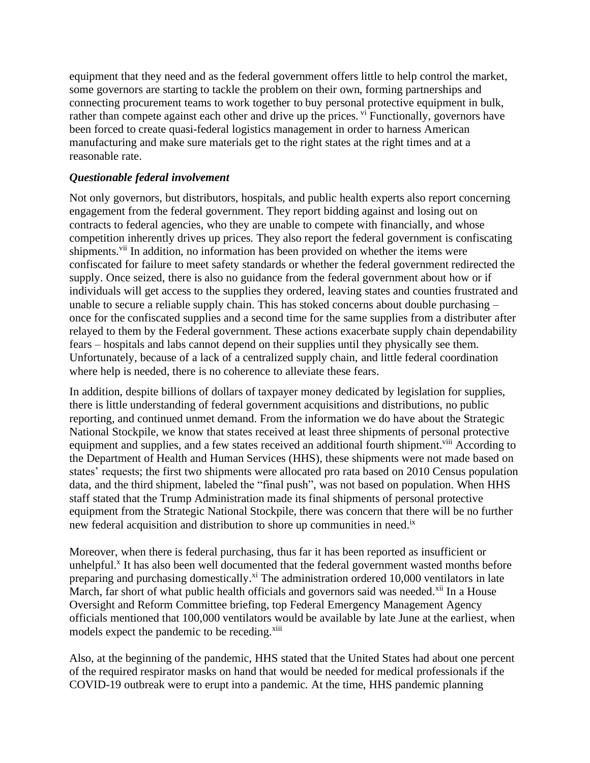equipment that they need and as the federal government offers little to help control the market, some governors are starting to tackle the problem on their own, forming partnerships and connecting procurement teams to work together to buy personal protective equipment in bulk, rather than compete against each other and drive up the prices. <sup>vi</sup> Functionally, governors have been forced to create quasi-federal logistics management in order to harness American manufacturing and make sure materials get to the right states at the right times and at a reasonable rate.

### *Questionable federal involvement*

Not only governors, but distributors, hospitals, and public health experts also report concerning engagement from the federal government. They report bidding against and losing out on contracts to federal agencies, who they are unable to compete with financially, and whose competition inherently drives up prices. They also report the federal government is confiscating shipments.<sup>vii</sup> In addition, no information has been provided on whether the items were confiscated for failure to meet safety standards or whether the federal government redirected the supply. Once seized, there is also no guidance from the federal government about how or if individuals will get access to the supplies they ordered, leaving states and counties frustrated and unable to secure a reliable supply chain. This has stoked concerns about double purchasing – once for the confiscated supplies and a second time for the same supplies from a distributer after relayed to them by the Federal government. These actions exacerbate supply chain dependability fears – hospitals and labs cannot depend on their supplies until they physically see them. Unfortunately, because of a lack of a centralized supply chain, and little federal coordination where help is needed, there is no coherence to alleviate these fears.

In addition, despite billions of dollars of taxpayer money dedicated by legislation for supplies, there is little understanding of federal government acquisitions and distributions, no public reporting, and continued unmet demand. From the information we do have about the Strategic National Stockpile, we know that states received at least three shipments of personal protective equipment and supplies, and a few states received an additional fourth shipment.<sup>viii</sup> According to the Department of Health and Human Services (HHS), these shipments were not made based on states' requests; the first two shipments were allocated pro rata based on 2010 Census population data, and the third shipment, labeled the "final push", was not based on population. When HHS staff stated that the Trump Administration made its final shipments of personal protective equipment from the Strategic National Stockpile, there was concern that there will be no further new federal acquisition and distribution to shore up communities in need.<sup>ix</sup>

Moreover, when there is federal purchasing, thus far it has been reported as insufficient or unhelpful.<sup>x</sup> It has also been well documented that the federal government wasted months before preparing and purchasing domestically.<sup>xi</sup> The administration ordered 10,000 ventilators in late March, far short of what public health officials and governors said was needed.<sup>xii</sup> In a House Oversight and Reform Committee briefing, top Federal Emergency Management Agency officials mentioned that 100,000 ventilators would be available by late June at the earliest, when models expect the pandemic to be receding.<sup>xiii</sup>

Also, at the beginning of the pandemic, HHS stated that the United States had about one percent of the required respirator masks on hand that would be needed for medical professionals if the COVID-19 outbreak were to erupt into a pandemic. At the time, HHS pandemic planning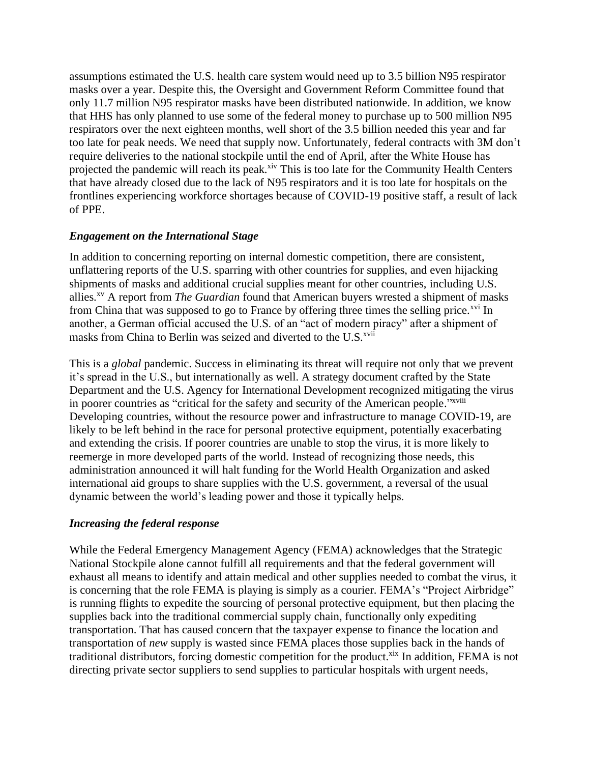assumptions estimated the U.S. health care system would need up to 3.5 billion N95 respirator masks over a year. Despite this, the Oversight and Government Reform Committee found that only 11.7 million N95 respirator masks have been distributed nationwide. In addition, we know that HHS has only planned to use some of the federal money to purchase up to 500 million N95 respirators over the next eighteen months, well short of the 3.5 billion needed this year and far too late for peak needs. We need that supply now. Unfortunately, federal contracts with 3M don't require deliveries to the national stockpile until the end of April, after the White House has projected the pandemic will reach its peak.<sup>xiv</sup> This is too late for the Community Health Centers that have already closed due to the lack of N95 respirators and it is too late for hospitals on the frontlines experiencing workforce shortages because of COVID-19 positive staff, a result of lack of PPE.

## *Engagement on the International Stage*

In addition to concerning reporting on internal domestic competition, there are consistent, unflattering reports of the U.S. sparring with other countries for supplies, and even hijacking shipments of masks and additional crucial supplies meant for other countries, including U.S. allies. xv A report from *The Guardian* found that American buyers wrested a shipment of masks from China that was supposed to go to France by offering three times the selling price.<sup> $\frac{xy}{x}$ </sup> In another, a German official accused the U.S. of an "act of modern piracy" after a shipment of masks from China to Berlin was seized and diverted to the U.S.<sup>xvii</sup>

This is a *global* pandemic. Success in eliminating its threat will require not only that we prevent it's spread in the U.S., but internationally as well. A strategy document crafted by the State Department and the U.S. Agency for International Development recognized mitigating the virus in poorer countries as "critical for the safety and security of the American people."<sup>xviii</sup> Developing countries, without the resource power and infrastructure to manage COVID-19, are likely to be left behind in the race for personal protective equipment, potentially exacerbating and extending the crisis. If poorer countries are unable to stop the virus, it is more likely to reemerge in more developed parts of the world. Instead of recognizing those needs, this administration announced it will halt funding for the World Health Organization and asked international aid groups to share supplies with the U.S. government, a reversal of the usual dynamic between the world's leading power and those it typically helps.

## *Increasing the federal response*

While the Federal Emergency Management Agency (FEMA) acknowledges that the Strategic National Stockpile alone cannot fulfill all requirements and that the federal government will exhaust all means to identify and attain medical and other supplies needed to combat the virus, it is concerning that the role FEMA is playing is simply as a courier. FEMA's "Project Airbridge" is running flights to expedite the sourcing of personal protective equipment, but then placing the supplies back into the traditional commercial supply chain, functionally only expediting transportation. That has caused concern that the taxpayer expense to finance the location and transportation of *new* supply is wasted since FEMA places those supplies back in the hands of traditional distributors, forcing domestic competition for the product.<sup>xix</sup> In addition, FEMA is not directing private sector suppliers to send supplies to particular hospitals with urgent needs,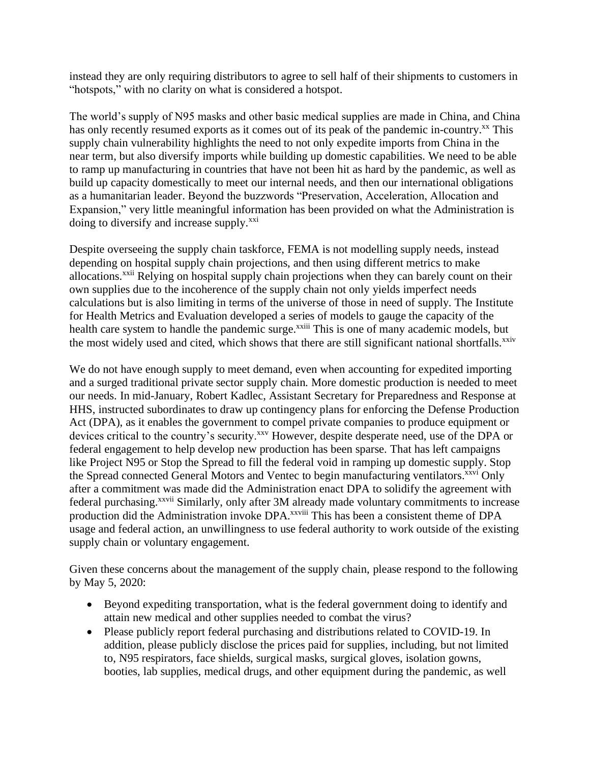instead they are only requiring distributors to agree to sell half of their shipments to customers in "hotspots," with no clarity on what is considered a hotspot.

The world's supply of N95 masks and other basic medical supplies are made in China, and China has only recently resumed exports as it comes out of its peak of the pandemic in-country.<sup>xx</sup> This supply chain vulnerability highlights the need to not only expedite imports from China in the near term, but also diversify imports while building up domestic capabilities. We need to be able to ramp up manufacturing in countries that have not been hit as hard by the pandemic, as well as build up capacity domestically to meet our internal needs, and then our international obligations as a humanitarian leader. Beyond the buzzwords "Preservation, Acceleration, Allocation and Expansion," very little meaningful information has been provided on what the Administration is doing to diversify and increase supply.<sup>xxi</sup>

Despite overseeing the supply chain taskforce, FEMA is not modelling supply needs, instead depending on hospital supply chain projections, and then using different metrics to make allocations.<sup>xxii</sup> Relying on hospital supply chain projections when they can barely count on their own supplies due to the incoherence of the supply chain not only yields imperfect needs calculations but is also limiting in terms of the universe of those in need of supply. The Institute for Health Metrics and Evaluation developed a series of models to gauge the capacity of the health care system to handle the pandemic surge.<sup>xxiii</sup> This is one of many academic models, but the most widely used and cited, which shows that there are still significant national shortfalls.<sup>xxiv</sup>

We do not have enough supply to meet demand, even when accounting for expedited importing and a surged traditional private sector supply chain. More domestic production is needed to meet our needs. In mid-January, Robert Kadlec, Assistant Secretary for Preparedness and Response at HHS, instructed subordinates to draw up contingency plans for enforcing the Defense Production Act (DPA), as it enables the government to compel private companies to produce equipment or devices critical to the country's security.<sup>xxv</sup> However, despite desperate need, use of the DPA or federal engagement to help develop new production has been sparse. That has left campaigns like Project N95 or Stop the Spread to fill the federal void in ramping up domestic supply. Stop the Spread connected General Motors and Ventec to begin manufacturing ventilators.<sup>xxvi</sup> Only after a commitment was made did the Administration enact DPA to solidify the agreement with federal purchasing.xxvii Similarly, only after 3M already made voluntary commitments to increase production did the Administration invoke DPA.<sup>xxviii</sup> This has been a consistent theme of DPA usage and federal action, an unwillingness to use federal authority to work outside of the existing supply chain or voluntary engagement.

Given these concerns about the management of the supply chain, please respond to the following by May 5, 2020:

- Beyond expediting transportation, what is the federal government doing to identify and attain new medical and other supplies needed to combat the virus?
- Please publicly report federal purchasing and distributions related to COVID-19. In addition, please publicly disclose the prices paid for supplies, including, but not limited to, N95 respirators, face shields, surgical masks, surgical gloves, isolation gowns, booties, lab supplies, medical drugs, and other equipment during the pandemic, as well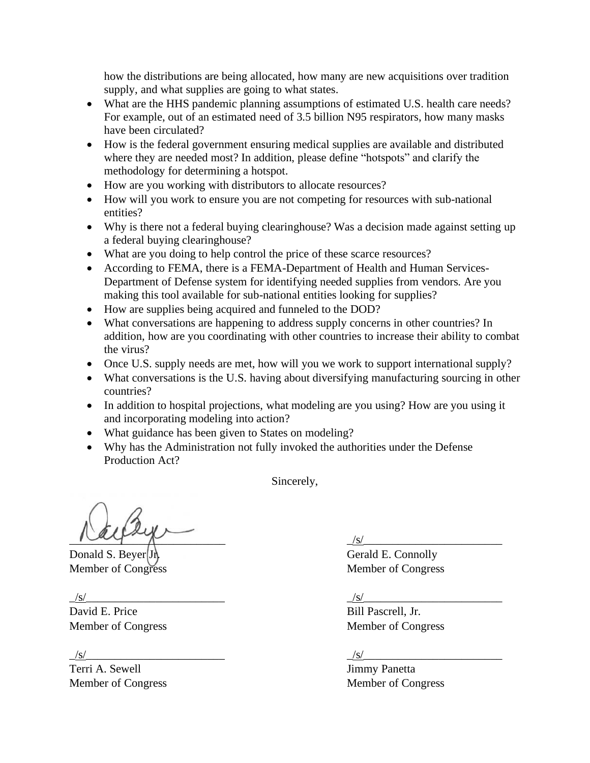how the distributions are being allocated, how many are new acquisitions over tradition supply, and what supplies are going to what states.

- What are the HHS pandemic planning assumptions of estimated U.S. health care needs? For example, out of an estimated need of 3.5 billion N95 respirators, how many masks have been circulated?
- How is the federal government ensuring medical supplies are available and distributed where they are needed most? In addition, please define "hotspots" and clarify the methodology for determining a hotspot.
- How are you working with distributors to allocate resources?
- How will you work to ensure you are not competing for resources with sub-national entities?
- Why is there not a federal buying clearinghouse? Was a decision made against setting up a federal buying clearinghouse?
- What are you doing to help control the price of these scarce resources?
- According to FEMA, there is a FEMA-Department of Health and Human Services-Department of Defense system for identifying needed supplies from vendors. Are you making this tool available for sub-national entities looking for supplies?
- How are supplies being acquired and funneled to the DOD?
- What conversations are happening to address supply concerns in other countries? In addition, how are you coordinating with other countries to increase their ability to combat the virus?
- Once U.S. supply needs are met, how will you we work to support international supply?
- What conversations is the U.S. having about diversifying manufacturing sourcing in other countries?
- In addition to hospital projections, what modeling are you using? How are you using it and incorporating modeling into action?
- What guidance has been given to States on modeling?
- Why has the Administration not fully invoked the authorities under the Defense Production Act?

Sincerely,

 $\frac{1}{|s|}$ 

Donald S. Beyer Jr. Gerald E. Connolly

 $\sqrt{s/}$ 

David E. Price Bill Pascrell, Jr.

 $\sqrt{s}$ /s/

Terri A. Sewell **Immy Panetta** 

Member of Congress Member of Congress

Member of Congress Member of Congress

Member of Congress Member of Congress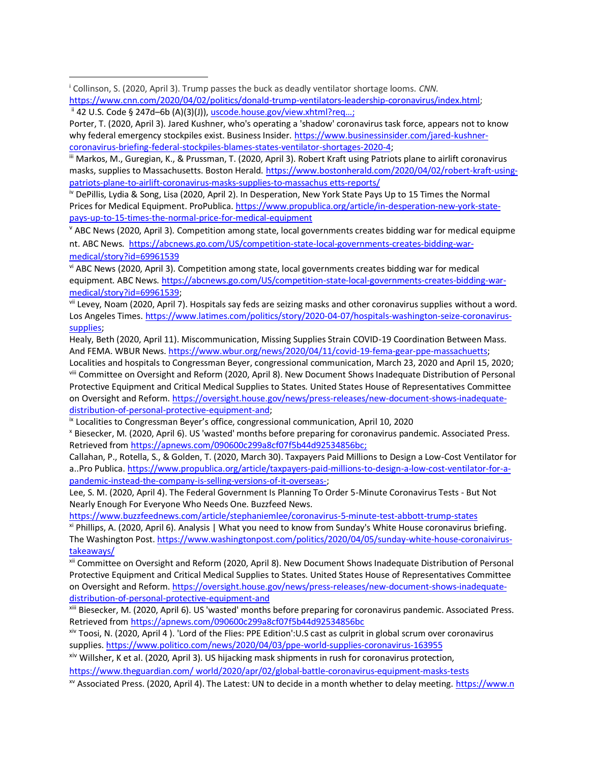<sup>i</sup> Collinson, S. (2020, April 3). Trump passes the buck as deadly ventilator shortage looms. *CNN.* [https://www.cnn.com/2020/04/02/politics/donald-trump-ventilators-leadership-coronavirus/index.html;](https://urldefense.proofpoint.com/v2/url?u=https-3A__www.cnn.com_2020_04_02_politics_donald-2Dtrump-2Dventilators-2Dleadership-2Dcoronavirus_index.html&d=DwMFaQ&c=L93KkjKsAC98uTvC4KvQDdTDRzAeWDDRmG6S3YXllH0&r=IswHP2IGOIoy18qVaO0xaw_c3TXqQqtEOjNGtVkT5f8&m=FqTlJcZ2U5Tmf46ruq9xbJAGLuWtKnct7fwcPWiTJLk&s=E4cGOFVkf8K-P8PMGhgsmcOik1VxtGm_r0XOeM1Ci8U&e=) ii 42 U.S. Code § 247d–6b (A)(3)(J)), [uscode.house.gov/view.xhtml?req…](https://t.co/EWLSmEem63);

Porter, T. (2020, April 3). Jared Kushner, who's operating a 'shadow' coronavirus task force, appears not to know why federal emergency stockpiles exist. Business Insider. [https://www.businessinsider.com/jared-kushner](https://www.businessinsider.com/jared-kushner-coronavirus-briefing-federal-stockpiles-blames-states-ventilator-shortages-2020-4)[coronavirus-briefing-federal-stockpiles-blames-states-ventilator-shortages-2020-4;](https://www.businessinsider.com/jared-kushner-coronavirus-briefing-federal-stockpiles-blames-states-ventilator-shortages-2020-4)

iii Markos, M., Guregian, K., & Prussman, T. (2020, April 3). Robert Kraft using Patriots plane to airlift coronavirus masks, supplies to Massachusetts. Boston Herald. [https://www.bostonherald.com/2020/04/02/robert-kraft-using](https://www.bostonherald.com/2020/04/02/robert-kraft-using-patriots-plane-to-airlift-coronavirus-masks-supplies-to-massachusetts-reports/)[patriots-plane-to-airlift-coronavirus-masks-supplies-to-massachus](https://www.bostonherald.com/2020/04/02/robert-kraft-using-patriots-plane-to-airlift-coronavirus-masks-supplies-to-massachusetts-reports/) etts-reports/

iv DePillis, Lydia & Song, Lisa (2020, April 2). In Desperation, New York State Pays Up to 15 Times the Normal Prices for Medical Equipment. ProPublica[. https://www.propublica.org/article/in-desperation-new-york-state](https://www.propublica.org/article/in-desperation-new-york-state-pays-up-to-15-times-the-normal-price-for-medical-equipment)[pays-up-to-15-times-the-normal-price-for-medical-equipment](https://www.propublica.org/article/in-desperation-new-york-state-pays-up-to-15-times-the-normal-price-for-medical-equipment)

 $\theta$  ABC News (2020, April 3). Competition among state, local governments creates bidding war for medical equipme nt. ABC News. [https://abcnews.go.com/US/competition-state-local-governments-creates-bidding-war](https://abcnews.go.com/US/competition-state-local-governments-creates-bidding-war-medical/story?id=69961539)[medical/story?id=69961539](https://abcnews.go.com/US/competition-state-local-governments-creates-bidding-war-medical/story?id=69961539)

vi ABC News (2020, April 3). Competition among state, local governments creates bidding war for medical equipment. ABC News[. https://abcnews.go.com/US/competition-state-local-governments-creates-bidding-war](https://abcnews.go.com/US/competition-state-local-governments-creates-bidding-war-medical/story?id=69961539)[medical/story?id=69961539;](https://abcnews.go.com/US/competition-state-local-governments-creates-bidding-war-medical/story?id=69961539)

vii Levey, Noam (2020, April 7). Hospitals say feds are seizing masks and other coronavirus supplies without a word. Los Angeles Times[. https://www.latimes.com/politics/story/2020-04-07/hospitals-washington-seize-coronavirus](https://www.latimes.com/politics/story/2020-04-07/hospitals-washington-seize-coronavirus-supplies)[supplies;](https://www.latimes.com/politics/story/2020-04-07/hospitals-washington-seize-coronavirus-supplies)

Healy, Beth (2020, April 11). Miscommunication, Missing Supplies Strain COVID-19 Coordination Between Mass. And FEMA. WBUR News. [https://www.wbur.org/news/2020/04/11/covid-19-fema-gear-ppe-massachuetts;](https://www.wbur.org/news/2020/04/11/covid-19-fema-gear-ppe-massachuetts)

Localities and hospitals to Congressman Beyer, congressional communication, March 23, 2020 and April 15, 2020; viii Committee on Oversight and Reform (2020, April 8). New Document Shows Inadequate Distribution of Personal Protective Equipment and Critical Medical Supplies to States. United States House of Representatives Committee on Oversight and Reform[. https://oversight.house.gov/news/press-releases/new-document-shows-inadequate](https://oversight.house.gov/news/press-releases/new-document-shows-inadequate-distribution-of-personal-protective-equipment-and)[distribution-of-personal-protective-equipment-and;](https://oversight.house.gov/news/press-releases/new-document-shows-inadequate-distribution-of-personal-protective-equipment-and)

<sup>ix</sup> Localities to Congressman Beyer's office, congressional communication, April 10, 2020

<sup>x</sup> Biesecker, M. (2020, April 6). US 'wasted' months before preparing for coronavirus pandemic. Associated Press. Retrieved fro[m https://apnews.com/090600c299a8cf07f5b44d92534856bc;](https://apnews.com/090600c299a8cf07f5b44d92534856bc)

Callahan, P., Rotella, S., & Golden, T. (2020, March 30). Taxpayers Paid Millions to Design a Low-Cost Ventilator for a..Pro Publica. [https://www.propublica.org/article/taxpayers-paid-millions-to-design-a-low-cost-ventilator-for-a](https://www.propublica.org/article/taxpayers-paid-millions-to-design-a-low-cost-ventilator-for-a-pandemic-instead-the-company-is-selling-versions-of-it-overseas-)[pandemic-instead-the-company-is-selling-versions-of-it-overseas-;](https://www.propublica.org/article/taxpayers-paid-millions-to-design-a-low-cost-ventilator-for-a-pandemic-instead-the-company-is-selling-versions-of-it-overseas-)

Lee, S. M. (2020, April 4). The Federal Government Is Planning To Order 5-Minute Coronavirus Tests - But Not Nearly Enough For Everyone Who Needs One. Buzzfeed News.

<https://www.buzzfeednews.com/article/stephaniemlee/coronavirus-5-minute-test-abbott-trump-states>

xi Phillips, A. (2020, April 6). Analysis | What you need to know from Sunday's White House coronavirus briefing. The Washington Post. [https://www.washingtonpost.com/politics/2020/04/05/sunday-white-house-coronaivirus](https://www.washingtonpost.com/politics/2020/04/05/sunday-white-house-coronaivirus-takeaways/)[takeaways/](https://www.washingtonpost.com/politics/2020/04/05/sunday-white-house-coronaivirus-takeaways/)

xii Committee on Oversight and Reform (2020, April 8). New Document Shows Inadequate Distribution of Personal Protective Equipment and Critical Medical Supplies to States. United States House of Representatives Committee on Oversight and Reform[. https://oversight.house.gov/news/press-releases/new-document-shows-inadequate](https://oversight.house.gov/news/press-releases/new-document-shows-inadequate-distribution-of-personal-protective-equipment-and)[distribution-of-personal-protective-equipment-and](https://oversight.house.gov/news/press-releases/new-document-shows-inadequate-distribution-of-personal-protective-equipment-and)

xiii Biesecker, M. (2020, April 6). US 'wasted' months before preparing for coronavirus pandemic. Associated Press. Retrieved fro[m https://apnews.com/090600c299a8cf07f5b44d92534856bc](https://apnews.com/090600c299a8cf07f5b44d92534856bc)

xiv Toosi, N. (2020, April 4 ). 'Lord of the Flies: PPE Edition':U.S cast as culprit in global scrum over coronavirus supplies.<https://www.politico.com/news/2020/04/03/ppe-world-supplies-coronavirus-163955>

xiv Willsher, K et al. (2020, April 3). US hijacking mask shipments in rush for coronavirus protection, [https://www.theguardian.com/](https://www.theguardian.com/world/2020/apr/02/global-battle-coronavirus-equipment-masks-tests) world/2020/apr/02/global-battle-coronavirus-equipment-masks-tests

xv Associated Press. (2020, April 4). The Latest: UN to decide in a month whether to delay meeting. [https://www.n](https://www.news-gazette.com/coronavirus/the-latest-u-s-accused-of-wild-west-methods-to-gain-ppe/article_2197cf55-a7be-5706-8595-e4297a0ef244.html)